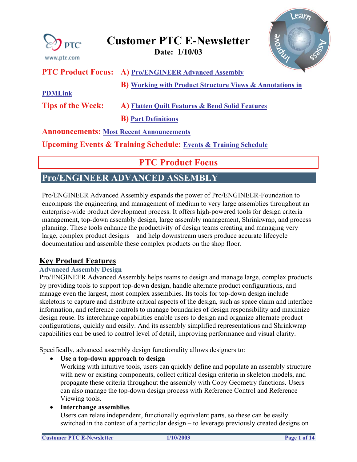<span id="page-0-0"></span>

| <b>PTC</b><br>www.ptc.com                       | Prove<br><b>Customer PTC E-Newsletter</b><br>Date: 1/10/03                     |
|-------------------------------------------------|--------------------------------------------------------------------------------|
|                                                 | <b>PTC Product Focus: A) Pro/ENGINEER Advanced Assembly</b>                    |
|                                                 | <b>B)</b> Working with Product Structure Views & Annotations in                |
| <b>PDMLink</b>                                  |                                                                                |
| <b>Tips of the Week:</b>                        | A) Flatten Quilt Features & Bend Solid Features                                |
|                                                 | <b>B)</b> Part Definitions                                                     |
| <b>Announcements: Most Recent Announcements</b> |                                                                                |
|                                                 | <b>Upcoming Events &amp; Training Schedule: Events &amp; Training Schedule</b> |

# **PTC Product Focus**

## **Pro/ENGINEER ADVANCED ASSEMBLY**

Pro/ENGINEER Advanced Assembly expands the power of Pro/ENGINEER-Foundation to encompass the engineering and management of medium to very large assemblies throughout an enterprise-wide product development process. It offers high-powered tools for design criteria management, top-down assembly design, large assembly management, Shrinkwrap, and process planning. These tools enhance the productivity of design teams creating and managing very large, complex product designs – and help downstream users produce accurate lifecycle documentation and assemble these complex products on the shop floor.

## **Key Product Features**

## **Advanced Assembly Design**

Pro/ENGINEER Advanced Assembly helps teams to design and manage large, complex products by providing tools to support top-down design, handle alternate product configurations, and manage even the largest, most complex assemblies. Its tools for top-down design include skeletons to capture and distribute critical aspects of the design, such as space claim and interface information, and reference controls to manage boundaries of design responsibility and maximize design reuse. Its interchange capabilities enable users to design and organize alternate product configurations, quickly and easily. And its assembly simplified representations and Shrinkwrap capabilities can be used to control level of detail, improving performance and visual clarity.

Specifically, advanced assembly design functionality allows designers to:

## Use a top-down approach to design

Working with intuitive tools, users can quickly define and populate an assembly structure with new or existing components, collect critical design criteria in skeleton models, and propagate these criteria throughout the assembly with Copy Geometry functions. Users can also manage the top-down design process with Reference Control and Reference Viewing tools.

## • **Interchange assemblies**

Users can relate independent, functionally equivalent parts, so these can be easily switched in the context of a particular design – to leverage previously created designs on

lear<sub>n</sub>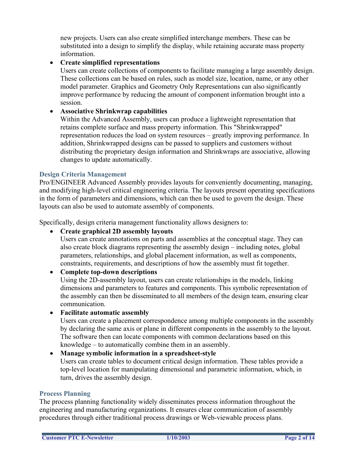new projects. Users can also create simplified interchange members. These can be substituted into a design to simplify the display, while retaining accurate mass property information.

## • **Create simplified representations**

Users can create collections of components to facilitate managing a large assembly design. These collections can be based on rules, such as model size, location, name, or any other model parameter. Graphics and Geometry Only Representations can also significantly improve performance by reducing the amount of component information brought into a session.

## • **Associative Shrinkwrap capabilities**

Within the Advanced Assembly, users can produce a lightweight representation that retains complete surface and mass property information. This "Shrinkwrapped" representation reduces the load on system resources – greatly improving performance. In addition, Shrinkwrapped designs can be passed to suppliers and customers without distributing the proprietary design information and Shrinkwraps are associative, allowing changes to update automatically.

## **Design Criteria Management**

Pro/ENGINEER Advanced Assembly provides layouts for conveniently documenting, managing, and modifying high-level critical engineering criteria. The layouts present operating specifications in the form of parameters and dimensions, which can then be used to govern the design. These layouts can also be used to automate assembly of components.

Specifically, design criteria management functionality allows designers to:

## • **Create graphical 2D assembly layouts**

Users can create annotations on parts and assemblies at the conceptual stage. They can also create block diagrams representing the assembly design – including notes, global parameters, relationships, and global placement information, as well as components, constraints, requirements, and descriptions of how the assembly must fit together.

## • **Complete top-down descriptions**

Using the 2D-assembly layout, users can create relationships in the models, linking dimensions and parameters to features and components. This symbolic representation of the assembly can then be disseminated to all members of the design team, ensuring clear communication.

## • **Facilitate automatic assembly**

Users can create a placement correspondence among multiple components in the assembly by declaring the same axis or plane in different components in the assembly to the layout. The software then can locate components with common declarations based on this knowledge – to automatically combine them in an assembly.

## • **Manage symbolic information in a spreadsheet-style**

Users can create tables to document critical design information. These tables provide a top-level location for manipulating dimensional and parametric information, which, in turn, drives the assembly design.

## **Process Planning**

The process planning functionality widely disseminates process information throughout the engineering and manufacturing organizations. It ensures clear communication of assembly procedures through either traditional process drawings or Web-viewable process plans.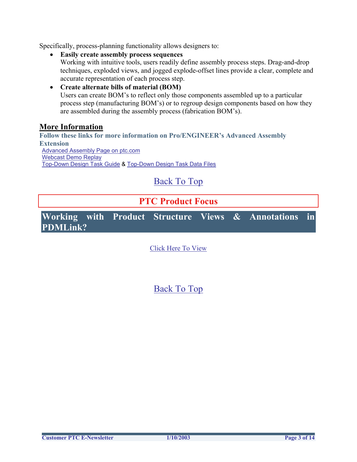Specifically, process-planning functionality allows designers to:

• **Easily create assembly process sequences** Working with intuitive tools, users readily define assembly process steps. Drag-and-drop techniques, exploded views, and jogged explode-offset lines provide a clear, complete and accurate representation of each process step.

## • **Create alternate bills of material (BOM)** Users can create BOM's to reflect only those components assembled up to a particular process step (manufacturing BOM's) or to regroup design components based on how they are assembled during the assembly process (fabrication BOM's).

## **More Information**

**Follow these links for more information on Pro/ENGINEER's Advanced Assembly Extension**  [Advanced Assembly Page on ptc.com](http://www.ptc.com/appserver/it/icm/cda/icm01_list.jsp?group=201&num=1&show=y&keyword=324) [Webcast Demo Replay](http://www.ptc.com/events/aax_demo/aax_replay.ram) [Top-Down Design Task Guide](http://www.ptc.com/cs/doc/reference/ENG-201-EN-TDD.PDF) & [Top-Down Design Task Data Files](http://www.ptc.com/cs/doc/reference/ENG-0FILE-EN-TDD.HTML)

## [Back To Top](#page-0-0)

| <b>PTC Product Focus</b> |  |  |  |  |  |                                                       |  |
|--------------------------|--|--|--|--|--|-------------------------------------------------------|--|
| PDMLink?                 |  |  |  |  |  | Working with Product Structure Views & Annotations in |  |

[Click Here To View](http://www.ptc-mss.com/Tutorial/Tip_Tech/Customer PTC E-Newsletter 1-10-2003_B.pdf)

## [Back To Top](#page-0-0)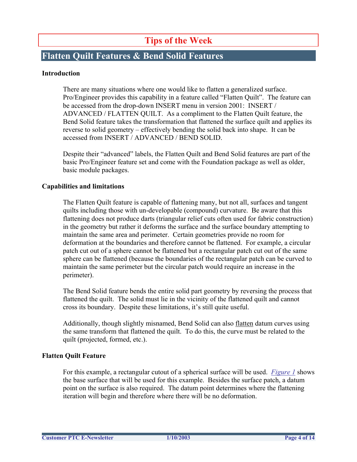# **Tips of the Week**

## **Flatten Quilt Features & Bend Solid Features**

#### **Introduction**

There are many situations where one would like to flatten a generalized surface. Pro/Engineer provides this capability in a feature called "Flatten Quilt". The feature can be accessed from the drop-down INSERT menu in version 2001: INSERT / ADVANCED / FLATTEN QUILT. As a compliment to the Flatten Quilt feature, the Bend Solid feature takes the transformation that flattened the surface quilt and applies its reverse to solid geometry – effectively bending the solid back into shape. It can be accessed from INSERT / ADVANCED / BEND SOLID.

Despite their "advanced" labels, the Flatten Quilt and Bend Solid features are part of the basic Pro/Engineer feature set and come with the Foundation package as well as older, basic module packages.

#### **Capabilities and limitations**

The Flatten Quilt feature is capable of flattening many, but not all, surfaces and tangent quilts including those with un-developable (compound) curvature. Be aware that this flattening does not produce darts (triangular relief cuts often used for fabric construction) in the geometry but rather it deforms the surface and the surface boundary attempting to maintain the same area and perimeter. Certain geometries provide no room for deformation at the boundaries and therefore cannot be flattened. For example, a circular patch cut out of a sphere cannot be flattened but a rectangular patch cut out of the same sphere can be flattened (because the boundaries of the rectangular patch can be curved to maintain the same perimeter but the circular patch would require an increase in the perimeter).

The Bend Solid feature bends the entire solid part geometry by reversing the process that flattened the quilt. The solid must lie in the vicinity of the flattened quilt and cannot cross its boundary. Despite these limitations, it's still quite useful.

Additionally, though slightly misnamed, Bend Solid can also flatten datum curves using the same transform that flattened the quilt. To do this, the curve must be related to the quilt (projected, formed, etc.).

## **Flatten Quilt Feature**

For this example, a rectangular cutout of a spherical surface will be used. *[Figure 1](#page-4-0)* shows the base surface that will be used for this example. Besides the surface patch, a datum point on the surface is also required. The datum point determines where the flattening iteration will begin and therefore where there will be no deformation.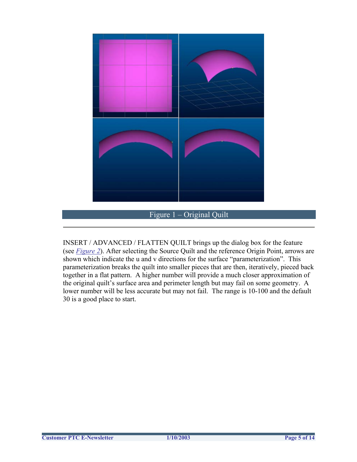<span id="page-4-0"></span>

Figure 1 – Original Quilt

INSERT / ADVANCED / FLATTEN QUILT brings up the dialog box for the feature (see *[Figure 2](#page-5-0)*). After selecting the Source Quilt and the reference Origin Point, arrows are shown which indicate the u and v directions for the surface "parameterization". This parameterization breaks the quilt into smaller pieces that are then, iteratively, pieced back together in a flat pattern. A higher number will provide a much closer approximation of the original quilt's surface area and perimeter length but may fail on some geometry. A lower number will be less accurate but may not fail. The range is 10-100 and the default 30 is a good place to start.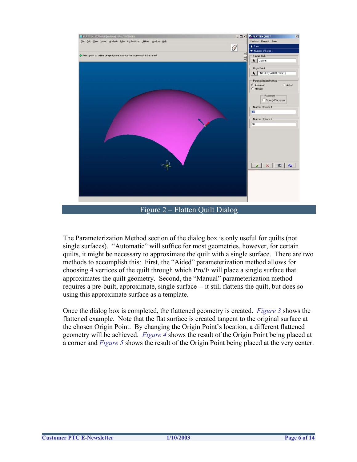<span id="page-5-0"></span>

Figure 2 – Flatten Quilt Dialog

The Parameterization Method section of the dialog box is only useful for quilts (not single surfaces). "Automatic" will suffice for most geometries, however, for certain quilts, it might be necessary to approximate the quilt with a single surface. There are two methods to accomplish this: First, the "Aided" parameterization method allows for choosing 4 vertices of the quilt through which Pro/E will place a single surface that approximates the quilt geometry. Second, the "Manual" parameterization method requires a pre-built, approximate, single surface -- it still flattens the quilt, but does so using this approximate surface as a template.

Once the dialog box is completed, the flattened geometry is created. *[Figure 3](#page-6-0)* shows the flattened example. Note that the flat surface is created tangent to the original surface at the chosen Origin Point. By changing the Origin Point's location, a different flattened geometry will be achieved. *[Figure 4](#page-6-0)* shows the result of the Origin Point being placed at a corner and *[Figure 5](#page-7-0)* shows the result of the Origin Point being placed at the very center.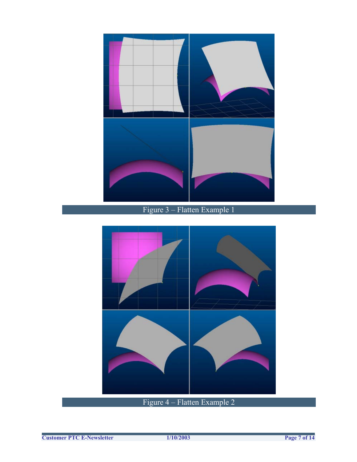<span id="page-6-0"></span>

Figure 3 – Flatten Example 1

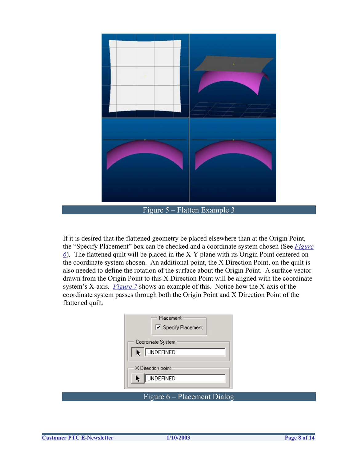<span id="page-7-0"></span>

Figure 5 – Flatten Example 3

If it is desired that the flattened geometry be placed elsewhere than at the Origin Point, the "Specify Placement" box can be checked and a coordinate system chosen (See *[Figure](#page-7-0)  [6](#page-7-0)*). The flattened quilt will be placed in the X-Y plane with its Origin Point centered on the coordinate system chosen. An additional point, the X Direction Point, on the quilt is also needed to define the rotation of the surface about the Origin Point. A surface vector drawn from the Origin Point to this X Direction Point will be aligned with the coordinate system's X-axis. *[Figure 7](#page-8-0)* shows an example of this. Notice how the X-axis of the coordinate system passes through both the Origin Point and X Direction Point of the flattened quilt.

| Placement<br><b>▽</b> Specify Placement |
|-----------------------------------------|
| Coordinate System<br><b>UNDEFINED</b>   |
| X Direction point<br><b>UNDEFINED</b>   |
| Figure 6 – Placement Dialog             |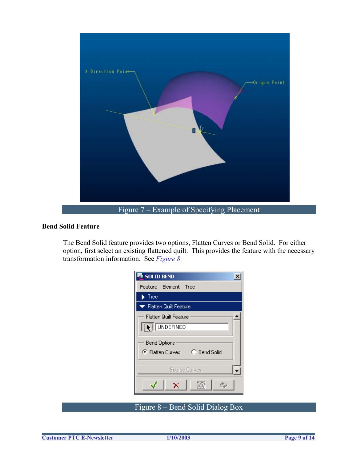<span id="page-8-0"></span>

## **Bend Solid Feature**

The Bend Solid feature provides two options, Flatten Curves or Bend Solid. For either option, first select an existing flattened quilt. This provides the feature with the necessary transformation information. See *[Figure 8](#page-8-0)*

| SOLID BEND                                    |  |  |
|-----------------------------------------------|--|--|
| Feature Element Tree                          |  |  |
| Tree                                          |  |  |
| Flatten Quilt Feature                         |  |  |
| Flatten Quilt Feature<br><b>IN</b> UNDEFINED  |  |  |
| Bend Options<br>C Flatten Curves C Bend Solid |  |  |
| Source Curves                                 |  |  |
|                                               |  |  |

## Figure 8 – Bend Solid Dialog Box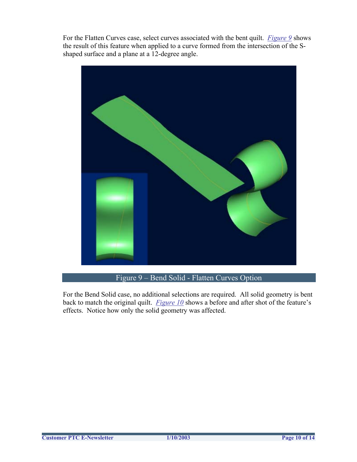<span id="page-9-0"></span>For the Flatten Curves case, select curves associated with the bent quilt. *[Figure 9](#page-9-0)* shows the result of this feature when applied to a curve formed from the intersection of the Sshaped surface and a plane at a 12-degree angle.



Figure 9 – Bend Solid - Flatten Curves Option

For the Bend Solid case, no additional selections are required. All solid geometry is bent back to match the original quilt. *[Figure 10](#page-10-0)* shows a before and after shot of the feature's effects. Notice how only the solid geometry was affected.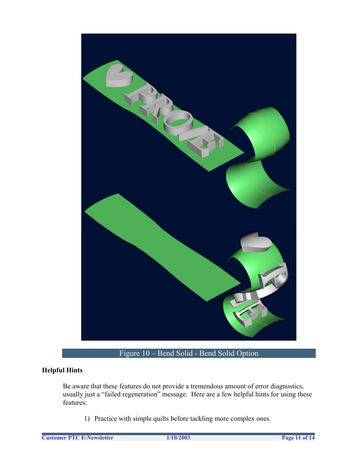<span id="page-10-0"></span>

## **Helpful Hints**

Be aware that these features do not provide a tremendous amount of error diagnostics, usually just a "failed regeneration" message. Here are a few helpful hints for using these features:

1) Practice with simple quilts before tackling more complex ones.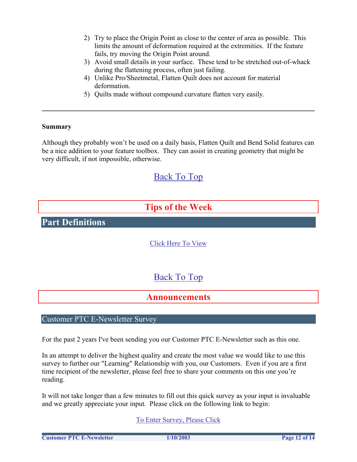- 2) Try to place the Origin Point as close to the center of area as possible. This limits the amount of deformation required at the extremities. If the feature fails, try moving the Origin Point around.
- 3) Avoid small details in your surface. These tend to be stretched out-of-whack during the flattening process, often just failing.
- 4) Unlike Pro/Sheetmetal, Flatten Quilt does not account for material deformation.
- 5) Quilts made without compound curvature flatten very easily.

## **Summary**

Although they probably won't be used on a daily basis, Flatten Quilt and Bend Solid features can be a nice addition to your feature toolbox. They can assist in creating geometry that might be very difficult, if not impossible, otherwise.

## [Back To Top](#page-0-0)

# **Tips of the Week Part Definitions** [Click Here To View](http://www.ptc-mss.com/Tutorial/Tip_Tech/Customer PTC E-Newsletter 1-10-2003_B.pdf) [Back To Top](#page-0-0) **Announcements**

## Customer PTC E-Newsletter Survey

For the past 2 years I've been sending you our Customer PTC E-Newsletter such as this one.

In an attempt to deliver the highest quality and create the most value we would like to use this survey to further our "Learning" Relationship with you, our Customers. Even if you are a first time recipient of the newsletter, please feel free to share your comments on this one you're reading.

It will not take longer than a few minutes to fill out this quick survey as your input is invaluable and we greatly appreciate your input. Please click on the following link to begin:

[To Enter Survey, Please Click](http://www.zoomerang.com/survey.zgi?54VBJVHDAQYET9LJJT1DWKC4)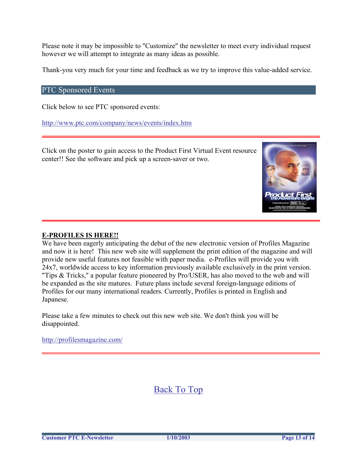Please note it may be impossible to "Customize" the newsletter to meet every individual request however we will attempt to integrate as many ideas as possible.

Thank-you very much for your time and feedback as we try to improve this value-added service.

## PTC Sponsored Events

Click below to see PTC sponsored events:

<http://www.ptc.com/company/news/events/index.htm>

Click on the poster to gain access to the Product First Virtual Event resource center!! See the software and pick up a screen-saver or two.



## **E-PROFILES IS HERE!!**

We have been eagerly anticipating the debut of the new electronic version of Profiles Magazine and now it is here! This new web site will supplement the print edition of the magazine and will provide new useful features not feasible with paper media. e-Profiles will provide you with 24x7, worldwide access to key information previously available exclusively in the print version. "Tips & Tricks," a popular feature pioneered by Pro/USER, has also moved to the web and will be expanded as the site matures. Future plans include several foreign-language editions of Profiles for our many international readers. Currently, Profiles is printed in English and Japanese.

Please take a few minutes to check out this new web site. We don't think you will be disappointed.

<http://profilesmagazine.com/>

[Back To Top](#page-0-0)